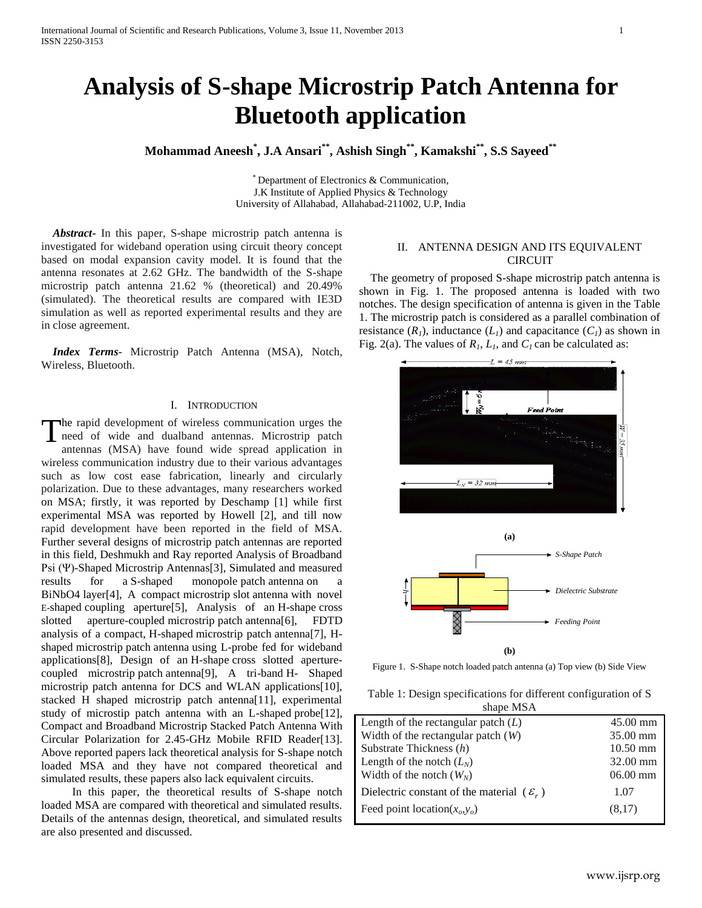# **Analysis of S-shape Microstrip Patch Antenna for Bluetooth application**

**Mohammad Aneesh\* , J.A Ansari\*\* , Ashish Singh\*\*, Kamakshi\*\*, S.S Sayeed\*\***

\* Department of Electronics & Communication, J.K Institute of Applied Physics & Technology University of Allahabad, Allahabad-211002, U.P, India

 *Abstract***-** In this paper, S-shape microstrip patch antenna is investigated for wideband operation using circuit theory concept based on modal expansion cavity model. It is found that the antenna resonates at 2.62 GHz. The bandwidth of the S-shape microstrip patch antenna 21.62 % (theoretical) and 20.49% (simulated). The theoretical results are compared with IE3D simulation as well as reported experimental results and they are in close agreement.

 *Index Terms*- Microstrip Patch Antenna (MSA), Notch, Wireless, Bluetooth.

### I. INTRODUCTION

he rapid development of wireless communication urges the The rapid development of wireless communication urges the need of wide and dualband antennas. Microstrip patch antennas  $(X, \lambda)$  have found wide annual antibiation in antennas (MSA) have found wide spread application in wireless communication industry due to their various advantages such as low cost ease fabrication, linearly and circularly polarization. Due to these advantages, many researchers worked on MSA; firstly, it was reported by Deschamp [1] while first experimental MSA was reported by Howell [2], and till now rapid development have been reported in the field of MSA. Further several designs of microstrip patch antennas are reported in this field, Deshmukh and Ray reported Analysis of Broadband Psi (Ψ)-Shaped Microstrip Antennas[3], Simulated and measured results for a S-shaped monopole patch antenna on a BiNbO4 layer[4], A compact microstrip slot antenna with novel E-shaped coupling aperture[5], Analysis of an H-shape cross slotted aperture-coupled microstrip patch antenna[6], FDTD analysis of a compact, H-shaped microstrip patch antenna[7], Hshaped microstrip patch antenna using L-probe fed for wideband applications[8], Design of an H-shape cross slotted aperturecoupled microstrip patch antenna[9], A tri-band H- Shaped microstrip patch antenna for DCS and WLAN applications[10], stacked H shaped microstrip patch antenna[11], experimental study of microstip patch antenna with an L-shaped probe[12], Compact and Broadband Microstrip Stacked Patch Antenna With Circular Polarization for 2.45-GHz Mobile RFID Reader[13]. Above reported papers lack theoretical analysis for S-shape notch loaded MSA and they have not compared theoretical and simulated results, these papers also lack equivalent circuits.

In this paper, the theoretical results of S-shape notch loaded MSA are compared with theoretical and simulated results. Details of the antennas design, theoretical, and simulated results are also presented and discussed.

# II. ANTENNA DESIGN AND ITS EQUIVALENT CIRCUIT

 The geometry of proposed S-shape microstrip patch antenna is shown in Fig. 1. The proposed antenna is loaded with two notches. The design specification of antenna is given in the Table 1. The microstrip patch is considered as a parallel combination of resistance  $(R<sub>1</sub>)$ , inductance  $(L<sub>1</sub>)$  and capacitance  $(C<sub>1</sub>)$  as shown in Fig. 2(a). The values of  $R_1$ ,  $L_1$ , and  $C_1$  can be calculated as:



Figure 1. S-Shape notch loaded patch antenna (a) Top view (b) Side View

|           | Table 1: Design specifications for different configuration of S |  |  |  |
|-----------|-----------------------------------------------------------------|--|--|--|
| shape MSA |                                                                 |  |  |  |

| Length of the rectangular patch $(L)$                 | $45.00$ mm |
|-------------------------------------------------------|------------|
| Width of the rectangular patch $(W)$                  | 35.00 mm   |
| Substrate Thickness $(h)$                             | $10.50$ mm |
| Length of the notch $(L_N)$                           | 32.00 mm   |
| Width of the notch $(W_N)$                            | $06.00$ mm |
| Dielectric constant of the material $(\varepsilon_r)$ | 1.07       |
| Feed point location( $x_o, y_o$ )                     | (8,17)     |
|                                                       |            |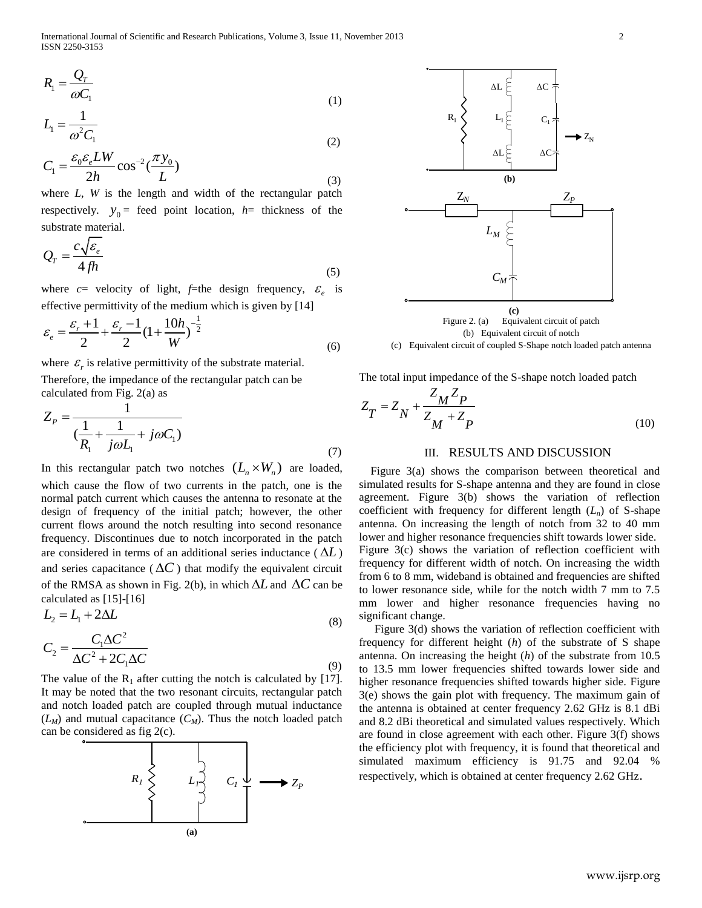$$
R_{\rm l} = \frac{Q_{\rm r}}{\omega C_{\rm l}} \tag{1}
$$

$$
L_1 = \frac{1}{\omega^2 C_1} \tag{2}
$$

$$
C_1 = \frac{\varepsilon_0 \varepsilon_e L W}{2h} \cos^{-2}(\frac{\pi y_0}{L})
$$
\n(2)

where *L*, *W* is the length and width of the rectangular patch respectively.  $y_0$  = feed point location,  $h$  = thickness of the substrate material.

$$
Q_r = \frac{c\sqrt{\varepsilon_e}}{4fh} \tag{5}
$$

where  $c$ = velocity of light,  $f$ =the design frequency,  $\varepsilon_e$  is

effective permittivity of the medium which is given by [14]  

$$
\varepsilon_e = \frac{\varepsilon_r + 1}{2} + \frac{\varepsilon_r - 1}{2} (1 + \frac{10h}{W})^{-\frac{1}{2}}
$$
(6)

where  $\varepsilon_r$  is relative permittivity of the substrate material. Therefore, the impedance of the rectangular patch can be calculated from Fig. 2(a) as

$$
Z_{P} = \frac{1}{\left(\frac{1}{R_{1}} + \frac{1}{j\omega L_{1}} + j\omega C_{1}\right)}
$$
\n(7)

In this rectangular patch two notches  $(L_n \times W_n)$  are loaded, which cause the flow of two currents in the patch, one is the normal patch current which causes the antenna to resonate at the design of frequency of the initial patch; however, the other current flows around the notch resulting into second resonance frequency. Discontinues due to notch incorporated in the patch are considered in terms of an additional series inductance ( $\Delta L$ ) and series capacitance ( $\Delta C$ ) that modify the equivalent circuit of the RMSA as shown in Fig. 2(b), in which  $\Delta L$  and  $\Delta C$  can be calculated as [15]-[16]

$$
L_2 = L_1 + 2\Delta L
$$
  
\n
$$
C_2 = \frac{C_1 \Delta C^2}{C_2^2 \Delta C^2}
$$
 (8)

$$
C_2 = \frac{C_1 \Delta C}{\Delta C^2 + 2C_1 \Delta C}
$$
\n(9)

The value of the  $R_1$  after cutting the notch is calculated by [17]. It may be noted that the two resonant circuits, rectangular patch and notch loaded patch are coupled through mutual inductance  $(L_M)$  and mutual capacitance  $(C_M)$ . Thus the notch loaded patch can be considered as fig 2(c).





(c) Equivalent circuit of coupled S-Shape notch loaded patch antenna

The total input impedance of the S-shape notch loaded patch

$$
Z_T = Z_N + \frac{Z_M Z_P}{Z_M + Z_P}
$$
\n<sup>(10)</sup>

## III. RESULTS AND DISCUSSION

 Figure 3(a) shows the comparison between theoretical and simulated results for S-shape antenna and they are found in close agreement. Figure 3(b) shows the variation of reflection coefficient with frequency for different length  $(L_n)$  of S-shape antenna. On increasing the length of notch from 32 to 40 mm lower and higher resonance frequencies shift towards lower side. Figure 3(c) shows the variation of reflection coefficient with frequency for different width of notch. On increasing the width from 6 to 8 mm, wideband is obtained and frequencies are shifted to lower resonance side, while for the notch width 7 mm to 7.5 mm lower and higher resonance frequencies having no significant change.

Figure 3(d) shows the variation of reflection coefficient with frequency for different height (*h*) of the substrate of S shape antenna. On increasing the height (*h*) of the substrate from 10.5 to 13.5 mm lower frequencies shifted towards lower side and higher resonance frequencies shifted towards higher side. Figure 3(e) shows the gain plot with frequency. The maximum gain of the antenna is obtained at center frequency 2.62 GHz is 8.1 dBi and 8.2 dBi theoretical and simulated values respectively. Which are found in close agreement with each other. Figure 3(f) shows the efficiency plot with frequency, it is found that theoretical and simulated maximum efficiency is 91.75 and 92.04 % respectively, which is obtained at center frequency 2.62 GHz.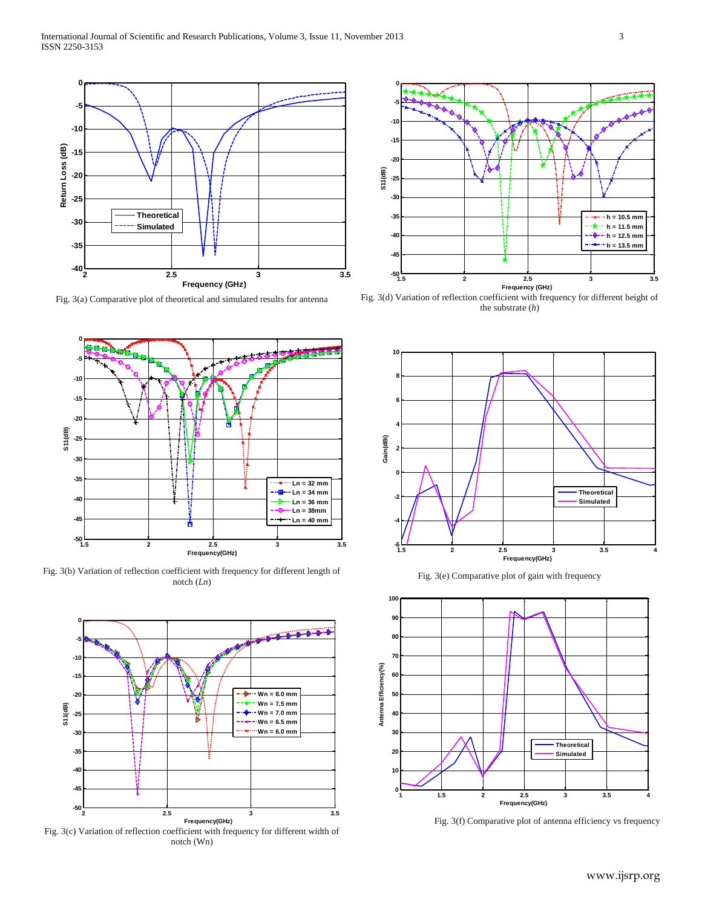

Fig. 3(a) Comparative plot of theoretical and simulated results for antenna



Fig. 3(b) Variation of reflection coefficient with frequency for different length of notch (*Ln*)



Fig. 3(c) Variation of reflection coefficient with frequency for different width of notch (Wn)



Fig. 3(d) Variation of reflection coefficient with frequency for different height of the substrate (*h*)



Fig. 3(e) Comparative plot of gain with frequency



Fig. 3(f) Comparative plot of antenna efficiency vs frequency